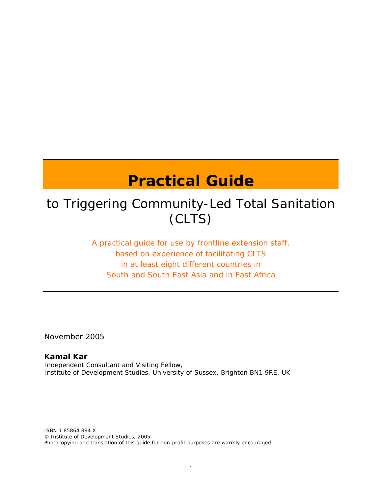# **Practical Guide**

## to Triggering Community-Led Total Sanitation (CLTS)

A practical guide for use by frontline extension staff, based on experience of facilitating CLTS in at least eight different countries in South and South East Asia and in East Africa

November 2005

## **Kamal Kar**

Independent Consultant and Visiting Fellow, Institute of Development Studies, University of Sussex, Brighton BN1 9RE, UK

ISBN 1 85864 884 X © Institute of Development Studies, 2005 Photocopying and translation of this guide for non-profit purposes are warmly encouraged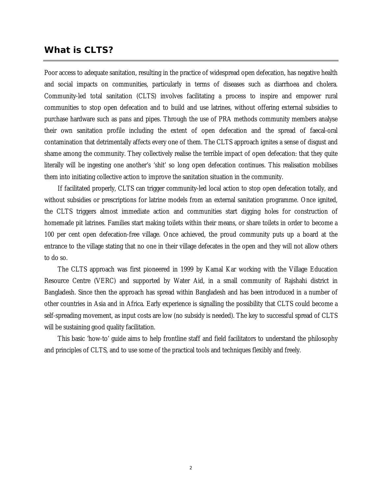### **What is CLTS?**

Poor access to adequate sanitation, resulting in the practice of widespread open defecation, has negative health and social impacts on communities, particularly in terms of diseases such as diarrhoea and cholera. Community-led total sanitation (CLTS) involves facilitating a process to inspire and empower rural communities to stop open defecation and to build and use latrines, without offering external subsidies to purchase hardware such as pans and pipes. Through the use of PRA methods community members analyse their own sanitation profile including the extent of open defecation and the spread of faecal-oral contamination that detrimentally affects every one of them. The CLTS approach ignites a sense of disgust and shame among the community. They collectively realise the terrible impact of open defecation: that they quite literally will be ingesting one another's 'shit' so long open defecation continues. This realisation mobilises them into initiating collective action to improve the sanitation situation in the community.

If facilitated properly, CLTS can trigger community-led local action to stop open defecation totally, and without subsidies or prescriptions for latrine models from an external sanitation programme. Once ignited, the CLTS triggers almost immediate action and communities start digging holes for construction of homemade pit latrines. Families start making toilets within their means, or share toilets in order to become a 100 per cent open defecation-free village. Once achieved, the proud community puts up a board at the entrance to the village stating that no one in their village defecates in the open and they will not allow others to do so.

The CLTS approach was first pioneered in 1999 by Kamal Kar working with the Village Education Resource Centre (VERC) and supported by Water Aid, in a small community of Rajshahi district in Bangladesh. Since then the approach has spread within Bangladesh and has been introduced in a number of other countries in Asia and in Africa. Early experience is signalling the possibility that CLTS could become a self-spreading movement, as input costs are low (no subsidy is needed). The key to successful spread of CLTS will be sustaining good quality facilitation.

This basic 'how-to' guide aims to help frontline staff and field facilitators to understand the philosophy and principles of CLTS, and to use some of the practical tools and techniques flexibly and freely.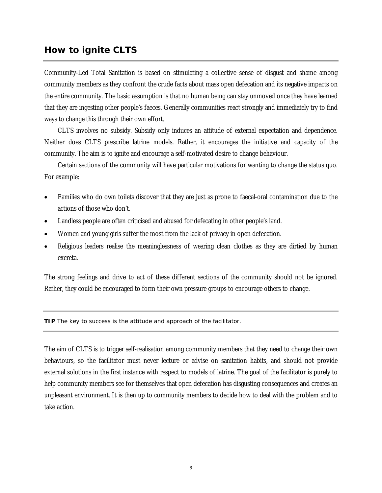## **How to ignite CLTS**

Community-Led Total Sanitation is based on stimulating a collective sense of disgust and shame among community members as they confront the crude facts about mass open defecation and its negative impacts on the entire community. The basic assumption is that no human being can stay unmoved once they have learned that they are ingesting other people's faeces. Generally communities react strongly and immediately try to find ways to change this through their own effort.

CLTS involves no subsidy. Subsidy only induces an attitude of external expectation and dependence. Neither does CLTS prescribe latrine models. Rather, it encourages the initiative and capacity of the community. The aim is to ignite and encourage a self-motivated desire to change behaviour.

Certain sections of the community will have particular motivations for wanting to change the status quo. For example:

- Families who do own toilets discover that they are just as prone to faecal-oral contamination due to the actions of those who don't.
- Landless people are often criticised and abused for defecating in other people's land.
- Women and young girls suffer the most from the lack of privacy in open defecation.
- Religious leaders realise the meaninglessness of wearing clean clothes as they are dirtied by human excreta.

The strong feelings and drive to act of these different sections of the community should not be ignored. Rather, they could be encouraged to form their own pressure groups to encourage others to change.

**TIP** The key to success is the attitude and approach of the facilitator.

The aim of CLTS is to trigger self-realisation among community members that they need to change their own behaviours, so the facilitator must never lecture or advise on sanitation habits, and should not provide external solutions in the first instance with respect to models of latrine. The goal of the facilitator is purely to help community members see for themselves that open defecation has disgusting consequences and creates an unpleasant environment. It is then up to community members to decide how to deal with the problem and to take action.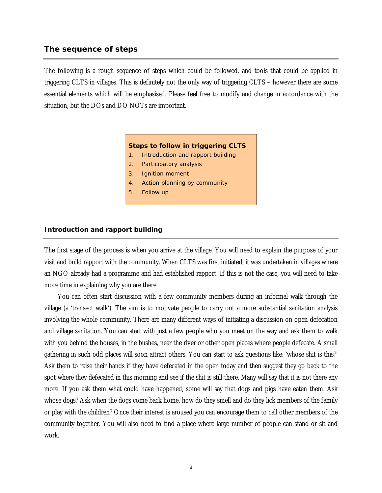#### **The sequence of steps**

The following is a rough sequence of steps which could be followed, and tools that could be applied in triggering CLTS in villages. This is definitely not the only way of triggering CLTS – however there are some essential elements which will be emphasised. Please feel free to modify and change in accordance with the situation, but the DOs and DO NOTs are important.

#### **Steps to follow in triggering CLTS**

- 1. Introduction and rapport building
- 2. Participatory analysis
- 3. Ignition moment
- 4. Action planning by community
- 5. Follow up

#### **Introduction and rapport building**

The first stage of the process is when you arrive at the village. You will need to explain the purpose of your visit and build rapport with the community. When CLTS was first initiated, it was undertaken in villages where an NGO already had a programme and had established rapport. If this is not the case, you will need to take more time in explaining why you are there.

You can often start discussion with a few community members during an informal walk through the village (a 'transect walk'). The aim is to motivate people to carry out a more substantial sanitation analysis involving the whole community. There are many different ways of initiating a discussion on open defecation and village sanitation. You can start with just a few people who you meet on the way and ask them to walk with you behind the houses, in the bushes, near the river or other open places where people defecate. A small gathering in such odd places will soon attract others. You can start to ask questions like: 'whose shit is this?' Ask them to raise their hands if they have defecated in the open today and then suggest they go back to the spot where they defecated in this morning and see if the shit is still there. Many will say that it is not there any more. If you ask them what could have happened, some will say that dogs and pigs have eaten them. Ask whose dogs? Ask when the dogs come back home, how do they smell and do they lick members of the family or play with the children? Once their interest is aroused you can encourage them to call other members of the community together. You will also need to find a place where large number of people can stand or sit and work.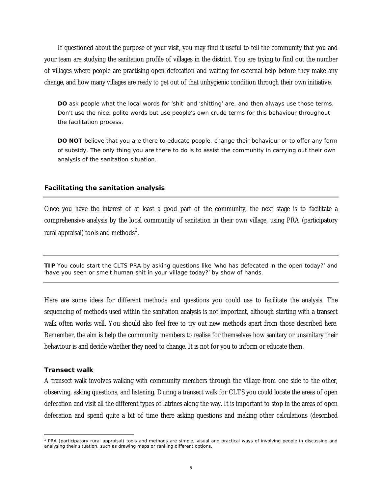If questioned about the purpose of your visit, you may find it useful to tell the community that you and your team are studying the sanitation profile of villages in the district. You are trying to find out the number of villages where people are practising open defecation and waiting for external help before they make any change, and how many villages are ready to get out of that unhygienic condition through their own initiative.

**DO** ask people what the local words for 'shit' and 'shitting' are, and then always use those terms. Don't use the nice, polite words but use people's own crude terms for this behaviour throughout the facilitation process.

**DO NOT** believe that you are there to educate people, change their behaviour or to offer any form of subsidy. The only thing you are there to do is to assist the community in carrying out their own analysis of the sanitation situation.

#### **Facilitating the sanitation analysis**

Once you have the interest of at least a good part of the community, the next stage is to facilitate a comprehensive analysis by the local community of sanitation in their own village, using PRA (participatory rural appraisal) tools and methods*<sup>1</sup>* .

**TIP** You could start the CLTS PRA by asking questions like 'who has defecated in the open today?' and 'have you seen or smelt human shit in your village today?' by show of hands.

Here are some ideas for different methods and questions you could use to facilitate the analysis. The sequencing of methods used within the sanitation analysis is not important, although starting with a transect walk often works well. You should also feel free to try out new methods apart from those described here. Remember, the aim is help the community members to realise for themselves how sanitary or unsanitary their behaviour is and decide whether they need to change. It is not for you to inform or educate them.

#### *Transect walk*

A transect walk involves walking with community members through the village from one side to the other, observing, asking questions, and listening. During a transect walk for CLTS you could locate the areas of open defecation and visit all the different types of latrines along the way. It is important to stop in the areas of open defecation and spend quite a bit of time there asking questions and making other calculations (described

<sup>&</sup>lt;sup>1</sup> PRA (participatory rural appraisal) tools and methods are simple, visual and practical ways of involving people in discussing and analysing their situation, such as drawing maps or ranking different options.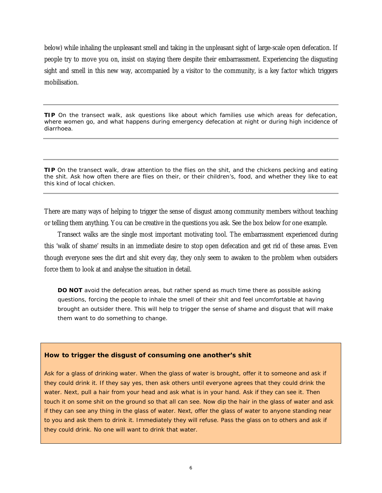below) while inhaling the unpleasant smell and taking in the unpleasant sight of large-scale open defecation. If people try to move you on, insist on staying there despite their embarrassment. Experiencing the disgusting sight and smell in this new way, accompanied by a visitor to the community, is a key factor which triggers mobilisation.

**TIP** On the transect walk, ask questions like about which families use which areas for defecation, where women go, and what happens during emergency defecation at night or during high incidence of diarrhoea.

**TIP** On the transect walk, draw attention to the flies on the shit, and the chickens pecking and eating the shit. Ask how often there are flies on their, or their children's, food, and whether they like to eat this kind of local chicken.

There are many ways of helping to trigger the sense of disgust among community members without teaching or telling them anything. You can be creative in the questions you ask. See the box below for one example.

Transect walks are the single most important motivating tool. The embarrassment experienced during this 'walk of shame' results in an immediate desire to stop open defecation and get rid of these areas. Even though everyone sees the dirt and shit every day, they only seem to awaken to the problem when outsiders force them to look at and analyse the situation in detail.

**DO NOT** avoid the defecation areas, but rather spend as much time there as possible asking questions, forcing the people to inhale the smell of their shit and feel uncomfortable at having brought an outsider there. This will help to trigger the sense of shame and disgust that will make them want to do something to change.

#### **How to trigger the disgust of consuming one another's shit**

Ask for a glass of drinking water. When the glass of water is brought, offer it to someone and ask if they could drink it. If they say yes, then ask others until everyone agrees that they could drink the water. Next, pull a hair from your head and ask what is in your hand. Ask if they can see it. Then touch it on some shit on the ground so that all can see. Now dip the hair in the glass of water and ask if they can see any thing in the glass of water. Next, offer the glass of water to anyone standing near to you and ask them to drink it. Immediately they will refuse. Pass the glass on to others and ask if they could drink. No one will want to drink that water.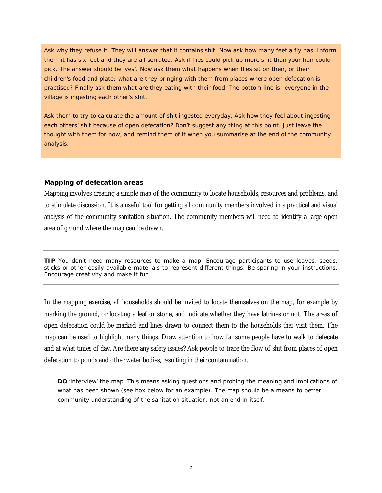Ask why they refuse it. They will answer that it contains shit. Now ask how many feet a fly has. Inform them it has six feet and they are all serrated. Ask if flies could pick up more shit than your hair could pick. The answer should be 'yes'. Now ask them what happens when flies sit on their, or their children's food and plate: what are they bringing with them from places where open defecation is practised? Finally ask them what are they eating with their food. The bottom line is: everyone in the village is ingesting each other's shit.

Ask them to try to calculate the amount of shit ingested everyday. Ask how they feel about ingesting each others' shit because of open defecation? Don't suggest any thing at this point. Just leave the thought with them for now, and remind them of it when you summarise at the end of the community analysis.

#### *Mapping of defecation areas*

Mapping involves creating a simple map of the community to locate households, resources and problems, and to stimulate discussion. It is a useful tool for getting all community members involved in a practical and visual analysis of the community sanitation situation. The community members will need to identify a large open area of ground where the map can be drawn.

**TIP** You don't need many resources to make a map. Encourage participants to use leaves, seeds, sticks or other easily available materials to represent different things. Be sparing in your instructions. Encourage creativity and make it fun.

In the mapping exercise, all households should be invited to locate themselves on the map, for example by marking the ground, or locating a leaf or stone, and indicate whether they have latrines or not. The areas of open defecation could be marked and lines drawn to connect them to the households that visit them. The map can be used to highlight many things. Draw attention to how far some people have to walk to defecate and at what times of day. Are there any safety issues? Ask people to trace the flow of shit from places of open defecation to ponds and other water bodies, resulting in their contamination.

**DO** 'interview' the map. This means asking questions and probing the meaning and implications of what has been shown (see box below for an example). The map should be a means to better community understanding of the sanitation situation, not an end in itself.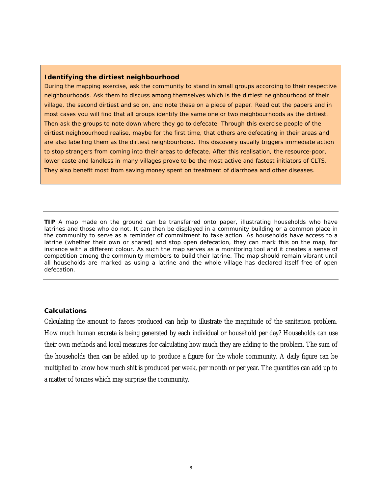#### **Identifying the dirtiest neighbourhood**

During the mapping exercise, ask the community to stand in small groups according to their respective neighbourhoods. Ask them to discuss among themselves which is the dirtiest neighbourhood of their village, the second dirtiest and so on, and note these on a piece of paper. Read out the papers and in most cases you will find that all groups identify the same one or two neighbourhoods as the dirtiest. Then ask the groups to note down where they go to defecate. Through this exercise people of the dirtiest neighbourhood realise, maybe for the first time, that others are defecating in their areas and are also labelling them as the dirtiest neighbourhood. This discovery usually triggers immediate action to stop strangers from coming into their areas to defecate. After this realisation, the resource-poor, lower caste and landless in many villages prove to be the most active and fastest initiators of CLTS. They also benefit most from saving money spent on treatment of diarrhoea and other diseases.

**TIP** A map made on the ground can be transferred onto paper, illustrating households who have latrines and those who do not. It can then be displayed in a community building or a common place in the community to serve as a reminder of commitment to take action. As households have access to a latrine (whether their own or shared) and stop open defecation, they can mark this on the map, for instance with a different colour. As such the map serves as a monitoring tool and it creates a sense of competition among the community members to build their latrine. The map should remain vibrant until all households are marked as using a latrine and the whole village has declared itself free of open defecation.

#### *Calculations*

Calculating the amount to faeces produced can help to illustrate the magnitude of the sanitation problem. How much human excreta is being generated by each individual or household per day? Households can use their own methods and local measures for calculating how much they are adding to the problem. The sum of the households then can be added up to produce a figure for the whole community. A daily figure can be multiplied to know how much shit is produced per week, per month or per year. The quantities can add up to a matter of tonnes which may surprise the community.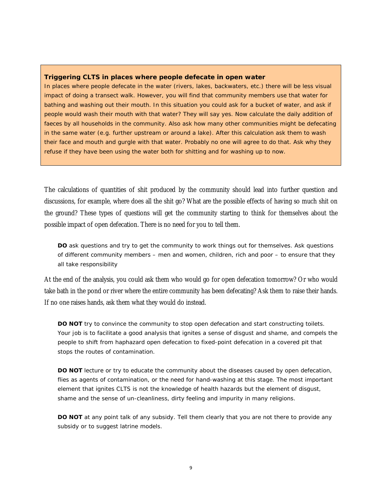#### **Triggering CLTS in places where people defecate in open water**

In places where people defecate in the water (rivers, lakes, backwaters, etc.) there will be less visual impact of doing a transect walk. However, you will find that community members use that water for bathing and washing out their mouth. In this situation you could ask for a bucket of water, and ask if people would wash their mouth with that water? They will say yes. Now calculate the daily addition of faeces by all households in the community. Also ask how many other communities might be defecating in the same water (e.g. further upstream or around a lake). After this calculation ask them to wash their face and mouth and gurgle with that water. Probably no one will agree to do that. Ask why they refuse if they have been using the water both for shitting and for washing up to now.

The calculations of quantities of shit produced by the community should lead into further question and discussions, for example, where does all the shit go? What are the possible effects of having so much shit on the ground? These types of questions will get the community starting to think for themselves about the possible impact of open defecation. There is no need for you to tell them.

**DO** ask questions and try to get the community to work things out for themselves. Ask questions of different community members – men and women, children, rich and poor – to ensure that they all take responsibility

At the end of the analysis, you could ask them who would go for open defecation tomorrow? Or who would take bath in the pond or river where the entire community has been defecating? Ask them to raise their hands. If no one raises hands, ask them what they would do instead.

**DO NOT** try to convince the community to stop open defecation and start constructing toilets. Your job is to facilitate a good analysis that ignites a sense of disgust and shame, and compels the people to shift from haphazard open defecation to fixed-point defecation in a covered pit that stops the routes of contamination.

**DO NOT** lecture or try to educate the community about the diseases caused by open defecation, flies as agents of contamination, or the need for hand-washing at this stage. The most important element that ignites CLTS is not the knowledge of health hazards but the element of disgust, shame and the sense of un-cleanliness, dirty feeling and impurity in many religions.

**DO NOT** at any point talk of any subsidy. Tell them clearly that you are not there to provide any subsidy or to suggest latrine models.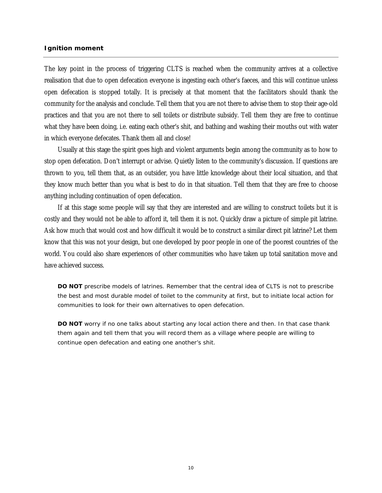#### **Ignition moment**

The key point in the process of triggering CLTS is reached when the community arrives at a collective realisation that due to open defecation everyone is ingesting each other's faeces, and this will continue unless open defecation is stopped totally. It is precisely at that moment that the facilitators should thank the community for the analysis and conclude. Tell them that you are not there to advise them to stop their age-old practices and that you are not there to sell toilets or distribute subsidy. Tell them they are free to continue what they have been doing, i.e. eating each other's shit, and bathing and washing their mouths out with water in which everyone defecates. Thank them all and close!

Usually at this stage the spirit goes high and violent arguments begin among the community as to how to stop open defecation. Don't interrupt or advise. Quietly listen to the community's discussion. If questions are thrown to you, tell them that, as an outsider, you have little knowledge about their local situation, and that they know much better than you what is best to do in that situation. Tell them that they are free to choose anything including continuation of open defecation.

If at this stage some people will say that they are interested and are willing to construct toilets but it is costly and they would not be able to afford it, tell them it is not. Quickly draw a picture of simple pit latrine. Ask how much that would cost and how difficult it would be to construct a similar direct pit latrine? Let them know that this was not your design, but one developed by poor people in one of the poorest countries of the world. You could also share experiences of other communities who have taken up total sanitation move and have achieved success.

**DO NOT** prescribe models of latrines. Remember that the central idea of CLTS is not to prescribe the best and most durable model of toilet to the community at first, but to initiate local action for communities to look for their own alternatives to open defecation.

**DO NOT** worry if no one talks about starting any local action there and then. In that case thank them again and tell them that you will record them as a village where people are willing to continue open defecation and eating one another's shit.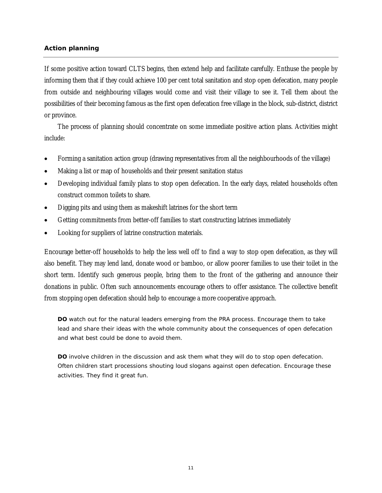#### **Action planning**

If some positive action toward CLTS begins, then extend help and facilitate carefully. Enthuse the people by informing them that if they could achieve 100 per cent total sanitation and stop open defecation, many people from outside and neighbouring villages would come and visit their village to see it. Tell them about the possibilities of their becoming famous as the first open defecation free village in the block, sub-district, district or province.

The process of planning should concentrate on some immediate positive action plans. Activities might include:

- Forming a sanitation action group (drawing representatives from all the neighbourhoods of the village)
- Making a list or map of households and their present sanitation status
- Developing individual family plans to stop open defecation. In the early days, related households often construct common toilets to share.
- Digging pits and using them as makeshift latrines for the short term
- Getting commitments from better-off families to start constructing latrines immediately
- Looking for suppliers of latrine construction materials.

Encourage better-off households to help the less well off to find a way to stop open defecation, as they will also benefit. They may lend land, donate wood or bamboo, or allow poorer families to use their toilet in the short term. Identify such generous people, bring them to the front of the gathering and announce their donations in public. Often such announcements encourage others to offer assistance. The collective benefit from stopping open defecation should help to encourage a more cooperative approach.

**DO** watch out for the natural leaders emerging from the PRA process. Encourage them to take lead and share their ideas with the whole community about the consequences of open defecation and what best could be done to avoid them.

**DO** involve children in the discussion and ask them what they will do to stop open defecation. Often children start processions shouting loud slogans against open defecation. Encourage these activities. They find it great fun.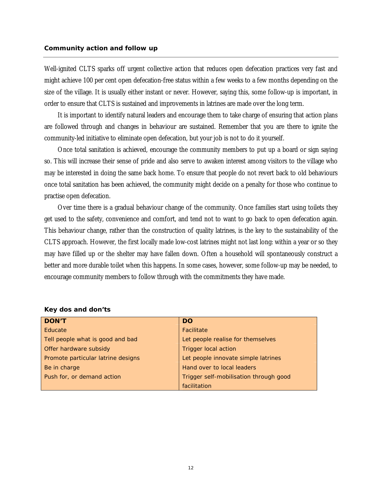Well-ignited CLTS sparks off urgent collective action that reduces open defecation practices very fast and might achieve 100 per cent open defecation-free status within a few weeks to a few months depending on the size of the village. It is usually either instant or never. However, saying this, some follow-up is important, in order to ensure that CLTS is sustained and improvements in latrines are made over the long term.

It is important to identify natural leaders and encourage them to take charge of ensuring that action plans are followed through and changes in behaviour are sustained. Remember that you are there to ignite the community-led initiative to eliminate open defecation, but your job is not to do it yourself.

Once total sanitation is achieved, encourage the community members to put up a board or sign saying so. This will increase their sense of pride and also serve to awaken interest among visitors to the village who may be interested in doing the same back home. To ensure that people do not revert back to old behaviours once total sanitation has been achieved, the community might decide on a penalty for those who continue to practise open defecation.

Over time there is a gradual behaviour change of the community. Once families start using toilets they get used to the safety, convenience and comfort, and tend not to want to go back to open defecation again. This behaviour change, rather than the construction of quality latrines, is the key to the sustainability of the CLTS approach. However, the first locally made low-cost latrines might not last long: within a year or so they may have filled up or the shelter may have fallen down. Often a household will spontaneously construct a better and more durable toilet when this happens. In some cases, however, some follow-up may be needed, to encourage community members to follow through with the commitments they have made.

| <b>DON'T</b>                       | <b>DO</b>                              |  |
|------------------------------------|----------------------------------------|--|
| Educate                            | Facilitate                             |  |
| Tell people what is good and bad   | Let people realise for themselves      |  |
| Offer hardware subsidy             | <b>Trigger local action</b>            |  |
| Promote particular latrine designs | Let people innovate simple latrines    |  |
| Be in charge                       | Hand over to local leaders             |  |
| Push for, or demand action         | Trigger self-mobilisation through good |  |
|                                    | facilitation                           |  |

*Key dos and don'ts*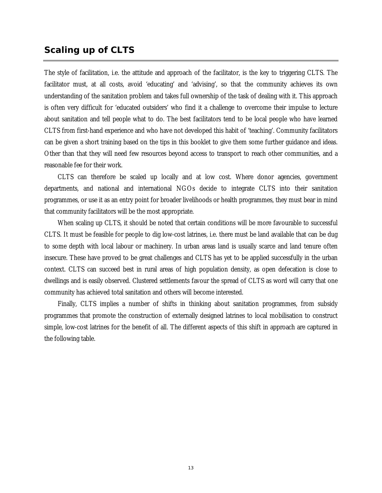## **Scaling up of CLTS**

The style of facilitation, i.e. the attitude and approach of the facilitator, is the key to triggering CLTS. The facilitator must, at all costs, avoid 'educating' and 'advising', so that the community achieves its own understanding of the sanitation problem and takes full ownership of the task of dealing with it. This approach is often very difficult for 'educated outsiders' who find it a challenge to overcome their impulse to lecture about sanitation and tell people what to do. The best facilitators tend to be local people who have learned CLTS from first-hand experience and who have not developed this habit of 'teaching'. Community facilitators can be given a short training based on the tips in this booklet to give them some further guidance and ideas. Other than that they will need few resources beyond access to transport to reach other communities, and a reasonable fee for their work.

CLTS can therefore be scaled up locally and at low cost. Where donor agencies, government departments, and national and international NGOs decide to integrate CLTS into their sanitation programmes, or use it as an entry point for broader livelihoods or health programmes, they must bear in mind that community facilitators will be the most appropriate.

When scaling up CLTS, it should be noted that certain conditions will be more favourable to successful CLTS. It must be feasible for people to dig low-cost latrines, i.e. there must be land available that can be dug to some depth with local labour or machinery. In urban areas land is usually scarce and land tenure often insecure. These have proved to be great challenges and CLTS has yet to be applied successfully in the urban context. CLTS can succeed best in rural areas of high population density, as open defecation is close to dwellings and is easily observed. Clustered settlements favour the spread of CLTS as word will carry that one community has achieved total sanitation and others will become interested.

Finally, CLTS implies a number of shifts in thinking about sanitation programmes, from subsidy programmes that promote the construction of externally designed latrines to local mobilisation to construct simple, low-cost latrines for the benefit of all. The different aspects of this shift in approach are captured in the following table.